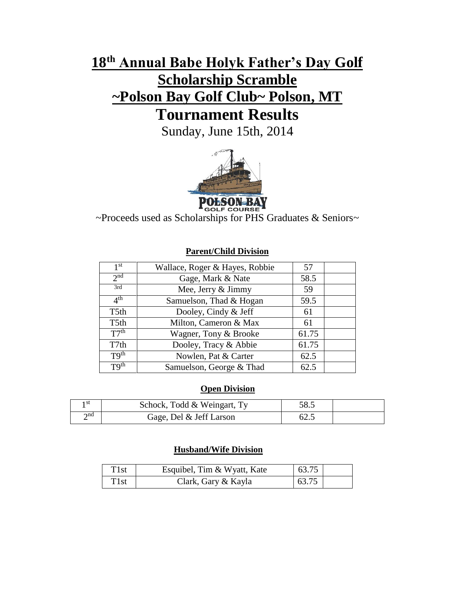# **18 th Annual Babe Holyk Father's Day Golf Scholarship Scramble ~Polson Bay Golf Club~ Polson, MT Tournament Results**

Sunday, June 15th, 2014



**POLSON-BAY**<br>~Proceeds used as Scholarships for PHS Graduates & Seniors~

#### $1<sup>st</sup>$ Wallace, Roger & Hayes, Robbie | 57  $\frac{2^{nd}}{3rd}$ Gage, Mark & Nate 58.5 Mee, Jerry  $&$  Jimmy 59  $4<sup>th</sup>$ Samuelson, Thad  $& Hogan \quad | \quad 59.5$ T5th Dooley, Cindy & Jeff 61 T5th | Milton, Cameron & Max | 61  $T7^{th}$ Wagner, Tony & Brooke  $\begin{array}{|l|}\n\hline\n61.75\n\end{array}$ T7th Dooley, Tracy & Abbie | 61.75 T9<sup>th</sup> Nowlen, Pat & Carter | 62.5  $T9<sup>th</sup>$  Samuelson, George & Thad 62.5

#### **Parent/Child Division**

## **Open Division**

| ı st        | Schock, Todd & Weingart, Ty | 58.5 |  |
|-------------|-----------------------------|------|--|
| $\gamma$ nd | Gage, Del & Jeff Larson     | 62.2 |  |

## **Husband/Wife Division**

| T <sub>1st</sub> | Esquibel, Tim & Wyatt, Kate | 63.75 |  |
|------------------|-----------------------------|-------|--|
| T <sub>1st</sub> | Clark, Gary & Kayla         | 63.75 |  |